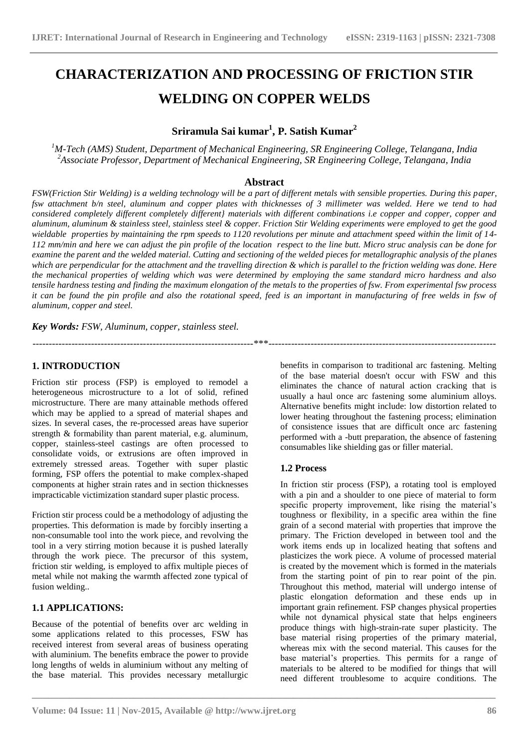# **CHARACTERIZATION AND PROCESSING OF FRICTION STIR WELDING ON COPPER WELDS**

**Sriramula Sai kumar<sup>1</sup> , P. Satish Kumar<sup>2</sup>**

*<sup>1</sup>M-Tech (AMS) Student, Department of Mechanical Engineering, SR Engineering College, Telangana, India <sup>2</sup>Associate Professor, Department of Mechanical Engineering, SR Engineering College, Telangana, India*

### **Abstract**

*FSW(Friction Stir Welding) is a welding technology will be a part of different metals with sensible properties. During this paper, fsw attachment b/n steel, aluminum and copper plates with thicknesses of 3 millimeter was welded. Here we tend to had considered completely different completely different} materials with different combinations i.e copper and copper, copper and aluminum, aluminum & stainless steel, stainless steel & copper. Friction Stir Welding experiments were employed to get the good wieldable properties by maintaining the rpm speeds to 1120 revolutions per minute and attachment speed within the limit of 14- 112 mm/min and here we can adjust the pin profile of the location respect to the line butt. Micro struc analysis can be done for examine the parent and the welded material. Cutting and sectioning of the welded pieces for metallographic analysis of the planes which are perpendicular for the attachment and the travelling direction & which is parallel to the friction welding was done. Here the mechanical properties of welding which was were determined by employing the same standard micro hardness and also tensile hardness testing and finding the maximum elongation of the metals to the properties of fsw. From experimental fsw process it can be found the pin profile and also the rotational speed, feed is an important in manufacturing of free welds in fsw of aluminum, copper and steel.*

--------------------------------------------------------------------\*\*\*----------------------------------------------------------------------

*Key Words: FSW, Aluminum, copper, stainless steel.*

### **1. INTRODUCTION**

Friction stir process (FSP) is employed to remodel a heterogeneous microstructure to a lot of solid, refined microstructure. There are many attainable methods offered which may be applied to a spread of material shapes and sizes. In several cases, the re-processed areas have superior strength & formability than parent material, e.g. aluminum, copper, stainless-steel castings are often processed to consolidate voids, or extrusions are often improved in extremely stressed areas. Together with super plastic forming, FSP offers the potential to make complex-shaped components at higher strain rates and in section thicknesses impracticable victimization standard super plastic process.

Friction stir process could be a methodology of adjusting the properties. This deformation is made by forcibly inserting a non-consumable tool into the work piece, and revolving the tool in a very stirring motion because it is pushed laterally through the work piece. The precursor of this system, friction stir welding, is employed to affix multiple pieces of metal while not making the warmth affected zone typical of fusion welding..

### **1.1 APPLICATIONS:**

Because of the potential of benefits over arc welding in some applications related to this processes, FSW has received interest from several areas of business operating with aluminium. The benefits embrace the power to provide long lengths of welds in aluminium without any melting of the base material. This provides necessary metallurgic benefits in comparison to traditional arc fastening. Melting of the base material doesn't occur with FSW and this eliminates the chance of natural action cracking that is usually a haul once arc fastening some aluminium alloys. Alternative benefits might include: low distortion related to lower heating throughout the fastening process; elimination of consistence issues that are difficult once arc fastening performed with a -butt preparation, the absence of fastening consumables like shielding gas or filler material.

### **1.2 Process**

**\_\_\_\_\_\_\_\_\_\_\_\_\_\_\_\_\_\_\_\_\_\_\_\_\_\_\_\_\_\_\_\_\_\_\_\_\_\_\_\_\_\_\_\_\_\_\_\_\_\_\_\_\_\_\_\_\_\_\_\_\_\_\_\_\_\_\_\_\_\_\_\_\_\_\_\_\_\_\_\_\_\_\_\_\_\_\_**

In friction stir process (FSP), a rotating tool is employed with a pin and a shoulder to one piece of material to form specific property improvement, like rising the material's toughness or flexibility, in a specific area within the fine grain of a second material with properties that improve the primary. The Friction developed in between tool and the work items ends up in localized heating that softens and plasticizes the work piece. A volume of processed material is created by the movement which is formed in the materials from the starting point of pin to rear point of the pin. Throughout this method, material will undergo intense of plastic elongation deformation and these ends up in important grain refinement. FSP changes physical properties while not dynamical physical state that helps engineers produce things with high-strain-rate super plasticity. The base material rising properties of the primary material, whereas mix with the second material. This causes for the base material's properties. This permits for a range of materials to be altered to be modified for things that will need different troublesome to acquire conditions. The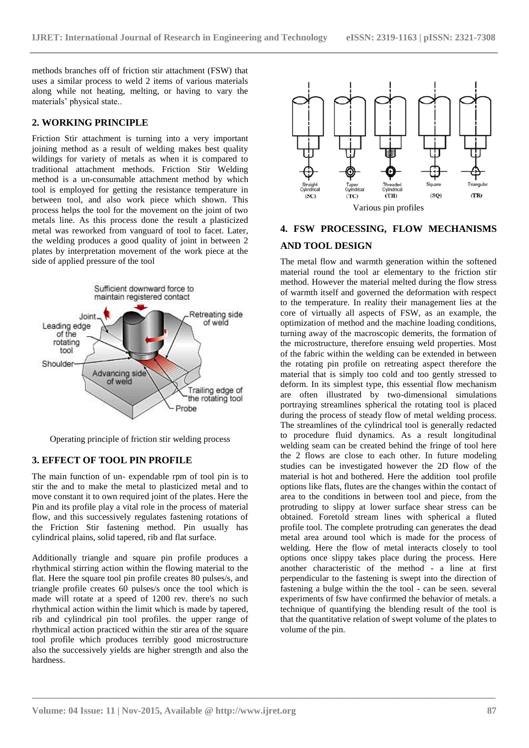methods branches off of friction stir attachment (FSW) that uses a similar process to weld 2 items of various materials along while not heating, melting, or having to vary the materials' physical state..

### **2. WORKING PRINCIPLE**

Friction Stir attachment is turning into a very important joining method as a result of welding makes best quality wildings for variety of metals as when it is compared to traditional attachment methods. Friction Stir Welding method is a un-consumable attachment method by which tool is employed for getting the resistance temperature in between tool, and also work piece which shown. This process helps the tool for the movement on the joint of two metals line. As this process done the result a plasticized metal was reworked from vanguard of tool to facet. Later, the welding produces a good quality of joint in between 2 plates by interpretation movement of the work piece at the side of applied pressure of the tool



Operating principle of friction stir welding process

#### **3. EFFECT OF TOOL PIN PROFILE**

The main function of un- expendable rpm of tool pin is to stir the and to make the metal to plasticized metal and to move constant it to own required joint of the plates. Here the Pin and its profile play a vital role in the process of material flow, and this successively regulates fastening rotations of the Friction Stir fastening method. Pin usually has cylindrical plains, solid tapered, rib and flat surface.

Additionally triangle and square pin profile produces a rhythmical stirring action within the flowing material to the flat. Here the square tool pin profile creates 80 pulses/s, and triangle profile creates 60 pulses/s once the tool which is made will rotate at a speed of 1200 rev. there's no such rhythmical action within the limit which is made by tapered, rib and cylindrical pin tool profiles. the upper range of rhythmical action practiced within the stir area of the square tool profile which produces terribly good microstructure also the successively yields are higher strength and also the hardness.



### **4. FSW PROCESSING, FLOW MECHANISMS AND TOOL DESIGN**

The metal flow and warmth generation within the softened material round the tool ar elementary to the friction stir method. However the material melted during the flow stress of warmth itself and governed the deformation with respect to the temperature. In reality their management lies at the core of virtually all aspects of FSW, as an example, the optimization of method and the machine loading conditions, turning away of the macroscopic demerits, the formation of the microstructure, therefore ensuing weld properties. Most of the fabric within the welding can be extended in between the rotating pin profile on retreating aspect therefore the material that is simply too cold and too gently stressed to deform. In its simplest type, this essential flow mechanism are often illustrated by two-dimensional simulations portraying streamlines spherical the rotating tool is placed during the process of steady flow of metal welding process. The streamlines of the cylindrical tool is generally redacted to procedure fluid dynamics. As a result longitudinal welding seam can be created behind the fringe of tool here the 2 flows are close to each other. In future modeling studies can be investigated however the 2D flow of the material is hot and bothered. Here the addition tool profile options like flats, flutes are the changes within the contact of area to the conditions in between tool and piece, from the protruding to slippy at lower surface shear stress can be obtained. Foretold stream lines with spherical a fluted profile tool. The complete protruding can generates the dead metal area around tool which is made for the process of welding. Here the flow of metal interacts closely to tool options once slippy takes place during the process. Here another characteristic of the method - a line at first perpendicular to the fastening is swept into the direction of fastening a bulge within the the tool - can be seen. several experiments of fsw have confirmed the behavior of metals. a technique of quantifying the blending result of the tool is that the quantitative relation of swept volume of the plates to volume of the pin.

**\_\_\_\_\_\_\_\_\_\_\_\_\_\_\_\_\_\_\_\_\_\_\_\_\_\_\_\_\_\_\_\_\_\_\_\_\_\_\_\_\_\_\_\_\_\_\_\_\_\_\_\_\_\_\_\_\_\_\_\_\_\_\_\_\_\_\_\_\_\_\_\_\_\_\_\_\_\_\_\_\_\_\_\_\_\_\_**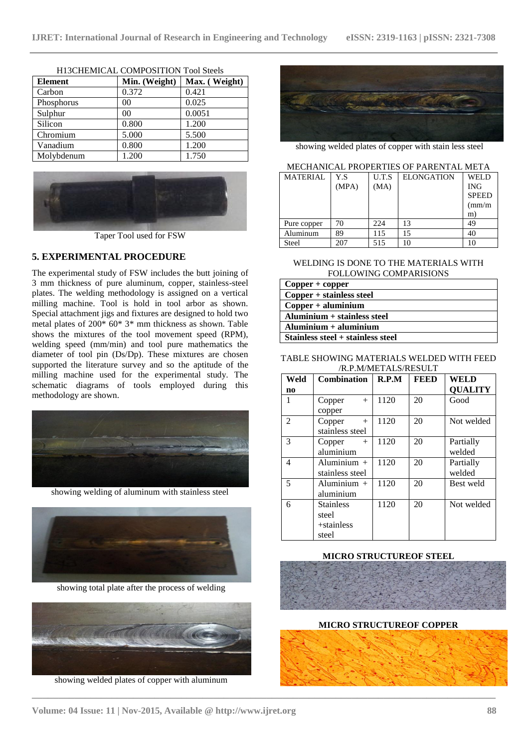| <b>Element</b> | Min. (Weight)  | Max. (Weight) |
|----------------|----------------|---------------|
| Carbon         | 0.372          | 0.421         |
| Phosphorus     | 00             | 0.025         |
| Sulphur        | 0 <sup>0</sup> | 0.0051        |
| Silicon        | 0.800          | 1.200         |
| Chromium       | 5.000          | 5.500         |
| Vanadium       | 0.800          | 1.200         |
| Molybdenum     | 1.200          | 1.750         |

H13CHEMICAL COMPOSITION Tool Steels



### **5. EXPERIMENTAL PROCEDURE**

The experimental study of FSW includes the butt joining of 3 mm thickness of pure aluminum, copper, stainless-steel plates. The welding methodology is assigned on a vertical milling machine. Tool is hold in tool arbor as shown. Special attachment jigs and fixtures are designed to hold two metal plates of 200\* 60\* 3\* mm thickness as shown. Table shows the mixtures of the tool movement speed (RPM), welding speed (mm/min) and tool pure mathematics the diameter of tool pin (Ds/Dp). These mixtures are chosen supported the literature survey and so the aptitude of the milling machine used for the experimental study. The schematic diagrams of tools employed during this methodology are shown.



showing welding of aluminum with stainless steel



showing total plate after the process of welding



showing welded plates of copper with aluminum



showing welded plates of copper with stain less steel

#### MECHANICAL PROPERTIES OF PARENTAL META

| <b>MATERIAL</b> | Y.S   | U.T.S | <b>ELONGATION</b> | WEL D        |
|-----------------|-------|-------|-------------------|--------------|
|                 | (MPA) | (MA)  |                   | <b>ING</b>   |
|                 |       |       |                   | <b>SPEED</b> |
|                 |       |       |                   | $\text{m/m}$ |
|                 |       |       |                   | m)           |
| Pure copper     | 70    | 224   | 13                | 49           |
| Aluminum        | 89    | 115   | 15                | 40           |
| Steel           | 207   | 515   | 10                | 10           |

WELDING IS DONE TO THE MATERIALS WITH FOLLOWING COMPARISIONS

| $Copper + copper$                    |  |  |
|--------------------------------------|--|--|
| $Copper + stainless steel$           |  |  |
| $Copper + aluminum$                  |  |  |
| $\Lambda$ luminium + stainless steel |  |  |
| $\textbf{Al}$ uminium + aluminium    |  |  |
| Stainless steel + stainless steel    |  |  |

### TABLE SHOWING MATERIALS WELDED WITH FEED /R.P.M/METALS/RESULT

| Weld | <b>Combination</b> | R.P.M | <b>FEED</b> | WELD           |
|------|--------------------|-------|-------------|----------------|
| no   |                    |       |             | <b>QUALITY</b> |
|      | Copper<br>$+$      | 1120  | 20          | Good           |
|      | copper             |       |             |                |
| 2    | Copper<br>$+$      | 1120  | 20          | Not welded     |
|      | stainless steel    |       |             |                |
| 3    | Copper<br>$+$      | 1120  | 20          | Partially      |
|      | aluminium          |       |             | welded         |
| 4    | Aluminium +        | 1120  | 20          | Partially      |
|      | stainless steel    |       |             | welded         |
| 5    | Aluminium $+$      | 1120  | 20          | Best weld      |
|      | aluminium          |       |             |                |
| 6    | <b>Stainless</b>   | 1120  | 20          | Not welded     |
|      | steel              |       |             |                |
|      | $+$ stainless      |       |             |                |
|      | steel              |       |             |                |

#### **MICRO STRUCTUREOF STEEL**



**MICRO STRUCTUREOF COPPER**



**\_\_\_\_\_\_\_\_\_\_\_\_\_\_\_\_\_\_\_\_\_\_\_\_\_\_\_\_\_\_\_\_\_\_\_\_\_\_\_\_\_\_\_\_\_\_\_\_\_\_\_\_\_\_\_\_\_\_\_\_\_\_\_\_\_\_\_\_\_\_\_\_\_\_\_\_\_\_\_\_\_\_\_\_\_\_\_**